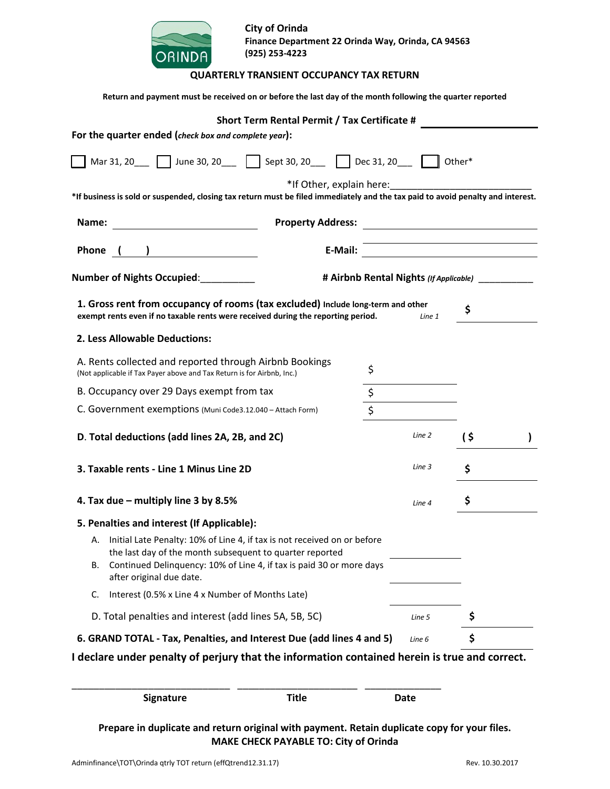| <b>ORINDA</b>                                                                                                                                                                                                            | <b>City of Orinda</b><br>Finance Department 22 Orinda Way, Orinda, CA 94563<br>(925) 253-4223<br><b>QUARTERLY TRANSIENT OCCUPANCY TAX RETURN</b> |        |     |  |  |  |
|--------------------------------------------------------------------------------------------------------------------------------------------------------------------------------------------------------------------------|--------------------------------------------------------------------------------------------------------------------------------------------------|--------|-----|--|--|--|
| Return and payment must be received on or before the last day of the month following the quarter reported                                                                                                                |                                                                                                                                                  |        |     |  |  |  |
|                                                                                                                                                                                                                          | Short Term Rental Permit / Tax Certificate #                                                                                                     |        |     |  |  |  |
| For the quarter ended (check box and complete year):                                                                                                                                                                     |                                                                                                                                                  |        |     |  |  |  |
| Mar 31, 20 ___ __ June 30, 20 ___ L__ Sept 30, 20 ___ L__ Dec 31, 20 ___ L__ Other*                                                                                                                                      |                                                                                                                                                  |        |     |  |  |  |
| *If business is sold or suspended, closing tax return must be filed immediately and the tax paid to avoid penalty and interest.                                                                                          | *If Other, explain here:                                                                                                                         |        |     |  |  |  |
| Name:                                                                                                                                                                                                                    | <b>Property Address:</b>                                                                                                                         |        |     |  |  |  |
| Phone ( ) <u>_______________</u>                                                                                                                                                                                         |                                                                                                                                                  |        |     |  |  |  |
| # Airbnb Rental Nights (If Applicable)                                                                                                                                                                                   |                                                                                                                                                  |        |     |  |  |  |
| 1. Gross rent from occupancy of rooms (tax excluded) Include long-term and other<br>exempt rents even if no taxable rents were received during the reporting period.                                                     |                                                                                                                                                  | Line 1 | \$  |  |  |  |
| 2. Less Allowable Deductions:                                                                                                                                                                                            |                                                                                                                                                  |        |     |  |  |  |
| A. Rents collected and reported through Airbnb Bookings<br>\$<br>(Not applicable if Tax Payer above and Tax Return is for Airbnb, Inc.)                                                                                  |                                                                                                                                                  |        |     |  |  |  |
| B. Occupancy over 29 Days exempt from tax<br>\$                                                                                                                                                                          |                                                                                                                                                  |        |     |  |  |  |
| \$<br>C. Government exemptions (Muni Code3.12.040 - Attach Form)                                                                                                                                                         |                                                                                                                                                  |        |     |  |  |  |
| D. Total deductions (add lines 2A, 2B, and 2C)                                                                                                                                                                           |                                                                                                                                                  |        | (\$ |  |  |  |
| 3. Taxable rents - Line 1 Minus Line 2D                                                                                                                                                                                  |                                                                                                                                                  |        | \$  |  |  |  |
| 4. Tax due - multiply line 3 by 8.5%<br>Line 4                                                                                                                                                                           |                                                                                                                                                  |        | \$  |  |  |  |
| 5. Penalties and interest (If Applicable):                                                                                                                                                                               |                                                                                                                                                  |        |     |  |  |  |
| Initial Late Penalty: 10% of Line 4, if tax is not received on or before<br>А.<br>the last day of the month subsequent to quarter reported<br>Continued Delinquency: 10% of Line 4, if tax is paid 30 or more days<br>В. |                                                                                                                                                  |        |     |  |  |  |
| after original due date.                                                                                                                                                                                                 |                                                                                                                                                  |        |     |  |  |  |
| Interest (0.5% x Line 4 x Number of Months Late)<br>C.                                                                                                                                                                   |                                                                                                                                                  |        |     |  |  |  |
| D. Total penalties and interest (add lines 5A, 5B, 5C)                                                                                                                                                                   |                                                                                                                                                  | Line 5 | \$  |  |  |  |
| 6. GRAND TOTAL - Tax, Penalties, and Interest Due (add lines 4 and 5)                                                                                                                                                    |                                                                                                                                                  | Line 6 | \$  |  |  |  |
| I declare under penalty of perjury that the information contained herein is true and correct.                                                                                                                            |                                                                                                                                                  |        |     |  |  |  |

| <b>Signature</b>                                                                             | Title                                        | Date |  |
|----------------------------------------------------------------------------------------------|----------------------------------------------|------|--|
| Prepare in duplicate and return original with payment. Retain duplicate copy for your files. | <b>MAKE CHECK PAYABLE TO: City of Orinda</b> |      |  |

\_\_\_\_\_\_\_\_\_\_\_\_\_\_\_\_\_\_\_\_\_\_\_\_\_\_\_\_\_ \_\_\_\_\_\_\_\_\_\_\_\_\_\_\_\_\_\_\_\_\_\_ \_\_\_\_\_\_\_\_\_\_\_\_\_\_